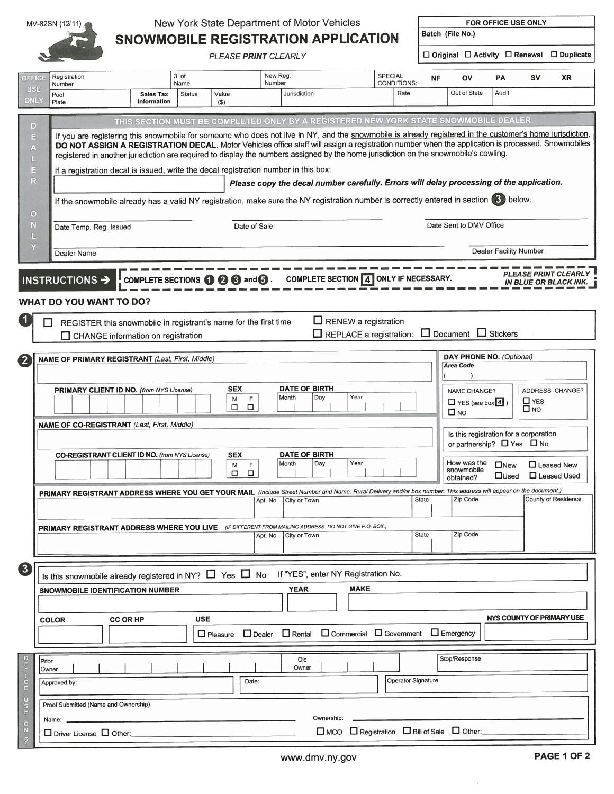

 $\sim$   $\sim$   $\sim$ 

## $MV-82SN (12/11)$  New York State Department of Motor Vehicles FOR OFFICE USE ONLY SNOWMOBILE REGISTRATION APPLICATION

PLEASE PRINT CLEARLY D Original D Activity D Renewal D Duplicate

| OFFICE                                                | Registration                                                                                                                                                                                                                                                                                                                                                                                                                                           |                                 | 3 of                  |                                                                                     | New Reg.              |                                                                                          | <b>SPECIAL</b> | <b>NF</b>                                    | ΟV                                                              | PA                                                                             | sv                      | <b>XR</b>                                                   |  |
|-------------------------------------------------------|--------------------------------------------------------------------------------------------------------------------------------------------------------------------------------------------------------------------------------------------------------------------------------------------------------------------------------------------------------------------------------------------------------------------------------------------------------|---------------------------------|-----------------------|-------------------------------------------------------------------------------------|-----------------------|------------------------------------------------------------------------------------------|----------------|----------------------------------------------|-----------------------------------------------------------------|--------------------------------------------------------------------------------|-------------------------|-------------------------------------------------------------|--|
| <b>USE</b><br><b>ONLY</b>                             | Number<br>Pool<br>Plate                                                                                                                                                                                                                                                                                                                                                                                                                                | <b>Sales Tax</b><br>Information | Name<br><b>Status</b> | Value<br>$($ \$                                                                     | Number                | Jurisdiction                                                                             |                | <b>CONDITIONS:</b><br>Rate                   | Out of State                                                    | Audit                                                                          |                         |                                                             |  |
|                                                       |                                                                                                                                                                                                                                                                                                                                                                                                                                                        |                                 |                       |                                                                                     |                       |                                                                                          |                |                                              |                                                                 |                                                                                |                         |                                                             |  |
| $\vert D \vert$                                       |                                                                                                                                                                                                                                                                                                                                                                                                                                                        |                                 |                       |                                                                                     |                       | THIS SECTION MUST BE COMPLETED ONLY BY A REGISTERED NEW YORK STATE SNOWMOBILE DEALER     |                |                                              |                                                                 |                                                                                |                         |                                                             |  |
| E<br>A                                                | If you are registering this snowmobile for someone who does not live in NY, and the snowmobile is already registered in the customer's home jurisdiction,<br>DO NOT ASSIGN A REGISTRATION DECAL. Motor Vehicles office staff will assign a registration number when the application is processed. Snowmobiles<br>registered in another jurisdiction are required to display the numbers assigned by the home jurisdiction on the snowmobile's cowling. |                                 |                       |                                                                                     |                       |                                                                                          |                |                                              |                                                                 |                                                                                |                         |                                                             |  |
| $\equiv$                                              | If a registration decal is issued, write the decal registration number in this box:                                                                                                                                                                                                                                                                                                                                                                    |                                 |                       |                                                                                     |                       |                                                                                          |                |                                              |                                                                 |                                                                                |                         |                                                             |  |
| R                                                     |                                                                                                                                                                                                                                                                                                                                                                                                                                                        |                                 |                       |                                                                                     |                       | Please copy the decal number carefully. Errors will delay processing of the application. |                |                                              |                                                                 |                                                                                |                         |                                                             |  |
| $\circ$                                               | If the snowmobile already has a valid NY registration, make sure the NY registration number is correctly entered in section (3) below.                                                                                                                                                                                                                                                                                                                 |                                 |                       |                                                                                     |                       |                                                                                          |                |                                              |                                                                 |                                                                                |                         |                                                             |  |
| N<br>I E.                                             | Date Temp. Reg. Issued                                                                                                                                                                                                                                                                                                                                                                                                                                 |                                 |                       |                                                                                     | Date of Sale          |                                                                                          |                |                                              | Date Sent to DMV Office                                         |                                                                                |                         |                                                             |  |
| Y                                                     | <b>Dealer Facility Number</b><br>Dealer Name                                                                                                                                                                                                                                                                                                                                                                                                           |                                 |                       |                                                                                     |                       |                                                                                          |                |                                              |                                                                 |                                                                                |                         |                                                             |  |
|                                                       | INSTRUCTIONS $\rightarrow$<br><b>WHAT DO YOU WANT TO DO?</b>                                                                                                                                                                                                                                                                                                                                                                                           |                                 |                       | COMPLETE SECTIONS $\mathbf{\Theta} \otimes \mathbf{\Theta}$ and $\mathbf{\Theta}$ . |                       | COMPLETE SECTION 4 ONLY IF NECESSARY.                                                    |                |                                              |                                                                 |                                                                                |                         | <b>PLEASE PRINT CLEARLY</b><br><b>IN BLUE OR BLACK INK.</b> |  |
| $\blacksquare$                                        | REGISTER this snowmobile in registrant's name for the first time                                                                                                                                                                                                                                                                                                                                                                                       |                                 |                       |                                                                                     |                       | $\Box$ RENEW a registration<br>$\Box$ REPLACE a registration:                            |                |                                              | $\Box$ Document $\Box$ Stickers                                 |                                                                                |                         |                                                             |  |
|                                                       | □ CHANGE information on registration                                                                                                                                                                                                                                                                                                                                                                                                                   |                                 |                       |                                                                                     |                       |                                                                                          |                |                                              |                                                                 |                                                                                |                         |                                                             |  |
|                                                       | <b>NAME OF PRIMARY REGISTRANT</b> (Last, First, Middle)                                                                                                                                                                                                                                                                                                                                                                                                |                                 |                       |                                                                                     |                       |                                                                                          |                |                                              | DAY PHONE NO. (Optional)<br><b>Area Code</b>                    |                                                                                |                         |                                                             |  |
|                                                       | PRIMARY CLIENT ID NO. (from NYS License)                                                                                                                                                                                                                                                                                                                                                                                                               |                                 |                       | <b>SEX</b><br>F<br>м<br>$\Box$<br>□                                                 | Month                 | <b>DATE OF BIRTH</b><br>Year<br>Day                                                      |                |                                              | <b>NAME CHANGE?</b><br>$\Box$ YES (see box $\boxed{4}$ )<br>□мо |                                                                                | $\Box$ YES<br>$\Box$ NO | ADDRESS CHANGE?                                             |  |
|                                                       | <b>NAME OF CO-REGISTRANT</b> (Last, First, Middle)                                                                                                                                                                                                                                                                                                                                                                                                     |                                 |                       |                                                                                     |                       |                                                                                          |                |                                              |                                                                 | Is this registration for a corporation<br>or partnership? $\Box$ Yes $\Box$ No |                         |                                                             |  |
|                                                       | <b>CO-REGISTRANT CLIENT ID NO.</b> (from NYS License)                                                                                                                                                                                                                                                                                                                                                                                                  |                                 |                       | <b>SEX</b><br>M<br>F<br>$\Box$<br>п                                                 | Month                 | <b>DATE OF BIRTH</b><br>Year<br>Day                                                      |                |                                              | How was the<br>snowmobile<br>obtained?                          | $\square$ New<br>$\Box$ Used                                                   | $\Box$ Leased New       | □ Leased Used                                               |  |
|                                                       | PRIMARY REGISTRANT ADDRESS WHERE YOU GET YOUR MAIL (Include Street Number and Name, Rural Delivery and/or box number. This address will appear on the document.)                                                                                                                                                                                                                                                                                       |                                 |                       |                                                                                     | Apt. No.              | City or Town                                                                             |                | State                                        | Zip Code                                                        |                                                                                |                         | County of Residence                                         |  |
|                                                       |                                                                                                                                                                                                                                                                                                                                                                                                                                                        |                                 |                       |                                                                                     |                       |                                                                                          |                |                                              |                                                                 |                                                                                |                         |                                                             |  |
|                                                       | <b>PRIMARY REGISTRANT ADDRESS WHERE YOU LIVE</b> (IF DIFFERENT FROM MAILING ADDRESS. DO NOT GIVE P.O. BOX.)                                                                                                                                                                                                                                                                                                                                            |                                 |                       |                                                                                     | Apt. No. City or Town |                                                                                          |                | State                                        | Zip Code                                                        |                                                                                |                         |                                                             |  |
|                                                       |                                                                                                                                                                                                                                                                                                                                                                                                                                                        |                                 |                       |                                                                                     |                       |                                                                                          |                |                                              |                                                                 |                                                                                |                         |                                                             |  |
| 3                                                     | Is this snowmobile already registered in NY? $\Box$ Yes $\Box$ No If "YES", enter NY Registration No.                                                                                                                                                                                                                                                                                                                                                  |                                 |                       |                                                                                     |                       |                                                                                          |                |                                              |                                                                 |                                                                                |                         |                                                             |  |
|                                                       | SNOWMOBILE IDENTIFICATION NUMBER                                                                                                                                                                                                                                                                                                                                                                                                                       |                                 |                       |                                                                                     |                       | YEAR                                                                                     | <b>MAKE</b>    |                                              |                                                                 |                                                                                |                         |                                                             |  |
|                                                       |                                                                                                                                                                                                                                                                                                                                                                                                                                                        |                                 |                       |                                                                                     |                       |                                                                                          |                |                                              |                                                                 |                                                                                |                         |                                                             |  |
|                                                       | <b>CC OR HP</b><br><b>COLOR</b>                                                                                                                                                                                                                                                                                                                                                                                                                        |                                 | <b>USE</b>            |                                                                                     |                       |                                                                                          |                |                                              |                                                                 | NYS COUNTY OF PRIMARY USE                                                      |                         |                                                             |  |
|                                                       |                                                                                                                                                                                                                                                                                                                                                                                                                                                        |                                 |                       | $\Box$ Pleasure                                                                     |                       | □ Dealer □ Rental □ Commercial □ Government □ Emergency                                  |                |                                              |                                                                 |                                                                                |                         |                                                             |  |
|                                                       |                                                                                                                                                                                                                                                                                                                                                                                                                                                        |                                 |                       |                                                                                     |                       |                                                                                          |                |                                              |                                                                 |                                                                                |                         |                                                             |  |
| $\circ$<br>Prior                                      |                                                                                                                                                                                                                                                                                                                                                                                                                                                        |                                 |                       |                                                                                     |                       | Old                                                                                      |                |                                              | Stop/Response                                                   |                                                                                |                         |                                                             |  |
|                                                       | Owner                                                                                                                                                                                                                                                                                                                                                                                                                                                  |                                 |                       |                                                                                     |                       | Owner                                                                                    |                |                                              |                                                                 |                                                                                |                         |                                                             |  |
| $\mathsf{m} \cap \mathsf{m} \cap \mathsf{m}$          | Approved by:                                                                                                                                                                                                                                                                                                                                                                                                                                           |                                 |                       | Date:                                                                               |                       |                                                                                          |                | Operator Signature                           |                                                                 |                                                                                |                         |                                                             |  |
| $rac{C}{\pi}$<br>Proof Submitted (Name and Ownership) |                                                                                                                                                                                                                                                                                                                                                                                                                                                        |                                 |                       |                                                                                     |                       |                                                                                          |                |                                              |                                                                 |                                                                                |                         |                                                             |  |
| $\circ$                                               | Name:                                                                                                                                                                                                                                                                                                                                                                                                                                                  | Ownership:                      |                       |                                                                                     |                       |                                                                                          |                |                                              |                                                                 |                                                                                |                         |                                                             |  |
| $\sum_{i=1}^{n}$                                      | $\Box$ Driver License $\Box$ Other:                                                                                                                                                                                                                                                                                                                                                                                                                    |                                 |                       |                                                                                     |                       |                                                                                          |                | □ MCO □ Registration □ Bill of Sale □ Other: |                                                                 |                                                                                |                         |                                                             |  |

à.